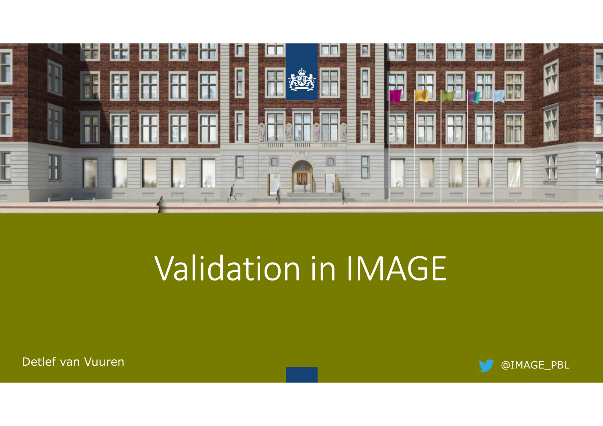

# Validation in IMAGE

Detlef van Vuuren

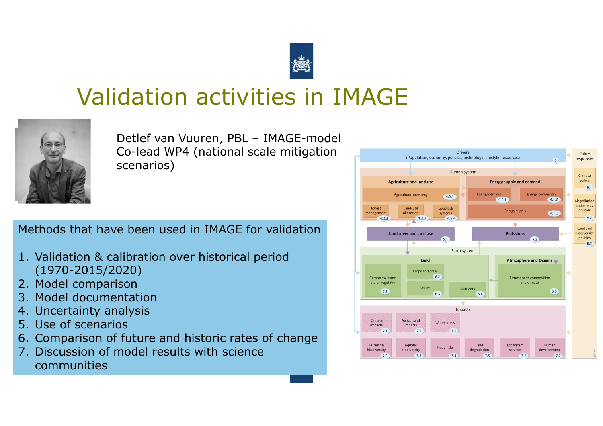

# Validation activities in IMAGE



Detlef van Vuuren, PBL – IMAGE-model Co-lead WP4 (national scale mitigation scenarios)

Methods that have been used in IMAGE for validation

- 1. Validation & calibration over historical period (1970-2015/2020)
- 2. Model comparison<br>3. Model documentati
- 3. Model documentation
- 4. Uncertainty analysis<br>5. Use of scenarios
- 5. Use of scenarios<br>6. Comnarison of fi
- 6. Comparison of future and historic rates of change<br>7 Discussion of model results with science
- 7. Discussion of model results with science communities

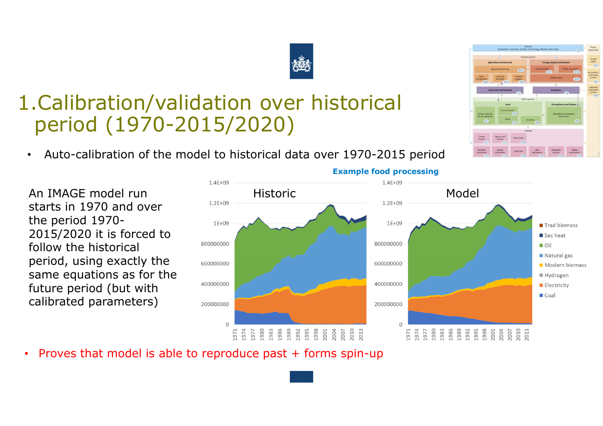### 1.Calibration/validation over historical period (1970-2015/2020)

•Auto-calibration of the model to historical data over 1970-2015 period

An IMAGE model run starts in 1970 and over the period 1970- 2015/2020 it is forced to follow the historical period, using exactly the same equations as for the future period (but with calibrated parameters)

- **Example food processing**<br>1.4E+09  $1.4E + 09$ Historic Model  $1.2E + 09$  $1E+09$  $1E+09$ Trad biomass Secheat 800000000 800000000 **D**Oil Natural gas 600000000 600000000 Modern biomass Hydrogen 400000000 400000000 **Electricity** Coal 200000000 200000000  $\mathbf{0}$  $\Omega$  $\begin{array}{l} 1977 \\ 1988 \\ 1988 \\ 1998 \\ 1998 \\ 1999 \\ 1999 \\ 1998 \\ 1998 \\ 1998 \\ 1998 \\ 1998 \\ 1998 \\ 1998 \\ 1998 \\ 1998 \\ 1998 \\ 1998 \\ 1998 \\ 1998 \\ 1998 \\ 1998 \\ 1998 \\ 1998 \\ 1998 \\ 1998 \\ 1998 \\ 1998 \\ 1998 \\ 1998 \\ 1998 \\ 1998 \\ 1998 \\ 1998 \\ 1998 \\ 19$ 1971<br>1974
- •Proves that model is able to reproduce past + forms spin-up



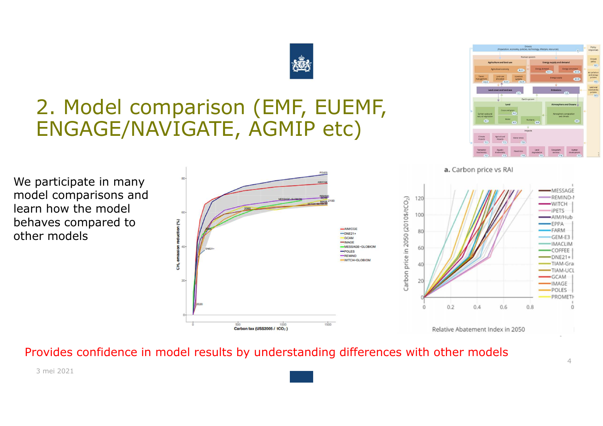### 2. Model comparison (EMF, EUEMF, ENGAGE/NAVIGATE, AGMIP etc)

We participate in many model comparisons and learn how the model behaves compared to other models



Provides confidence in model results by understanding differences with other models





a. Carbon price vs RAI

3 mei 2021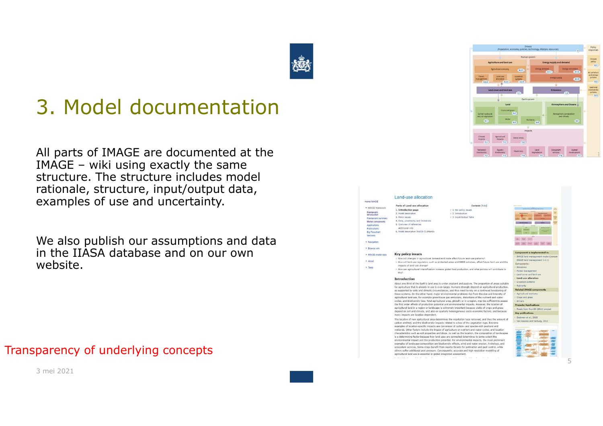### 3. Model documentation

All parts of IMAGE are documented at the IMAGE – wiki using exactly the same structure. The structure includes model rationale, structure, input/output data, examples of use and uncertainty.

We also publish our assumptions and data in the IIASA database and on our own website.

Transparency of underlying concepts



#### Land-use allocation Home IMAGE Parts of Land-use allocation Contents Dide - IMAGE fram 1. Introduction page > 1 Key policy issues Framework<br>introduction 2. Model description  $> 2$  Introduction 2 Belley Stronge > 3 Input/Output Table Framework su 4. Data, uncertainty and limitation S. Overview of references Application **Dublication** Additional Jofn 6. Model description IMAGE-CLUMor **Big Flowcha** > Navigatio  $m/m$  and  $m$ **N. Drossea will Key policy issues** > IMAGE-model dat **IMAGE land management model (v** > How will changes in agricultural demand and trade affect future land-use patterns' IMAGE land management 3.0.1  $h$  About > How will land-use regulation, such as protected areas and REDD schemes, affect future land use and the omnonente impacts of land-use change > Tools How can agricultural intensification increase global food production, and what policies will contribute to Forest managemen  $\sim$ Land cover and land us Land-use allocation **Introduction** About one third of the Farth's land area is under cronland and nasture. The proportion of areas suitable for agriculture that is already in use is even larger. Humans strongly depend on agricultural production Related IMAGE as supported by soils and climatic circumstances, and thus need to rely on a continued functioning of these systems. On the other hand, major environmental problems rise from the size and intensity of Anticultural eco agricultural land use, for example greenhouse gas emissions, distortions of the nutrient and water Crops and grass cycles, and biodiversity loss. Total agricultural area, globally or in a region, may be sufficient to asses the first order effects of production potential and environmental impacts. However, the location of Projects/Anglic agricultural land in a region or landscape is extremely important because yields of crops and grass<br>depend on soil and climate, and also on spatially heterogeneous socio-economic factors, and because Roads from Rio+20 (2012) project **Key publications** many impacts are location dependent. Doelman et al., 2018 The location of new apricultural area determines the vegetation type removed, and thus the amount of carbon emitted, and the biodiversity impacts related to a loss of the vegetation type. Extreme examples of location-specific impacts are conversion of carbon- and species-rich peatland and wetlands. Other factors include the impact of agriculture on nutrient and water cycles, and location characteristics such as soil properties and slope. As well as the location, the composition of landscapes conservation of a determining factor because how land uses are connected determines to some extent the<br>lis a determining factor because how land uses are connected determines to some extent the<br>environmental impact and the examples of landscape composition are biodiversity effects, wind and water erosion, hydrology, and<br>ecosystem services. Some crops benefit from nearby forests for pollination and pest control, while others suffer additional pest pressure. Consequently, accurate and high resolution modelling of agricultural land use is essential in global integrated assessment.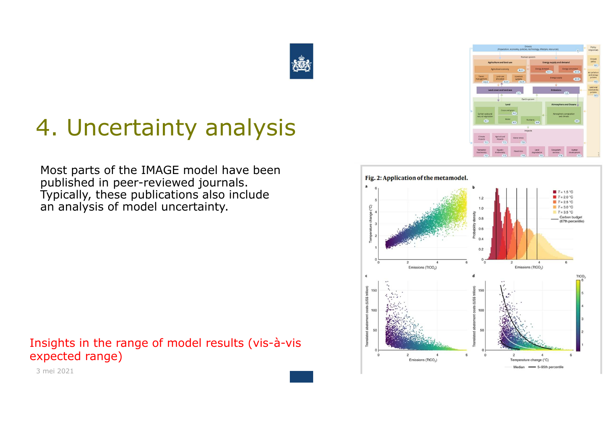

## 4. Uncertainty analysis

Most parts of the IMAGE model have been published in peer-reviewed journals. Typically, these publications also include an analysis of model uncertainty.

Insights in the range of model results (vis-à-vis expected range)





3 mei 2021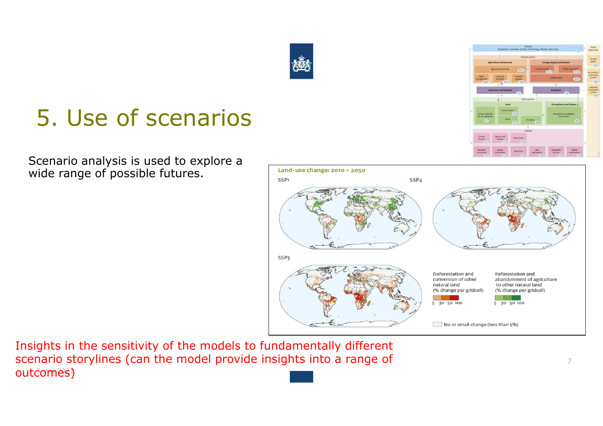## 5. Use of scenarios

Scenario analysis is used to explore a wide range of possible futures.

#### outcomes) Insights in the sensitivity of the models to fundamentally different scenario storylines (can the model provide insights into a range of





7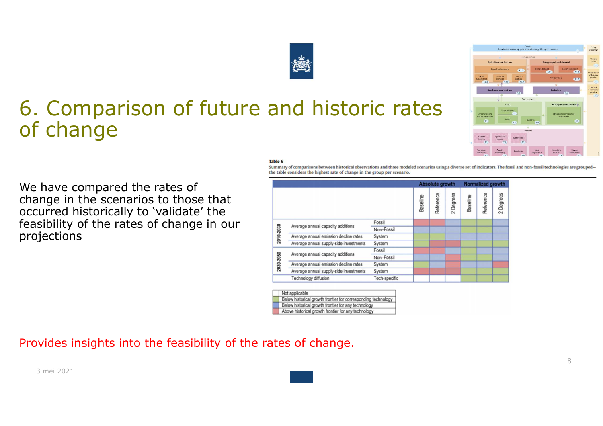### 6. Comparison of future and historic rates of change

#### **Table 6**

2010-2030

2030-2050

Summary of comparisons between historical observations and three modeled scenarios using a diverse set of indicators. The fossil and non-fossil technologies are groupedthe table considers the highest rate of change in the group per scenario.

**Absolute growth** 

Reference

**Baseline** 

Fossil

Non-Fossil

Non-Fossil

Tech-specific

System

System

System

System Fossil

Degrees

**Baseline** 

Normalized growth

Reference

2 Degrees

We have compared the rates of change in the scenarios to those that occurred historically to 'validate' the feasibility of the rates of change in our projections

Provides insights into the feasibility of the rates of change.



Average annual capacity additions

Average annual capacity additions

Technology diffusion

Not applicable

Average annual emission decline rates

Average annual emission decline rates

Average annual supply-side investments

Below historical growth frontier for corresponding technology Below historical growth frontier for any technology Above historical growth frontier for any technology

Average annual supply-side investments